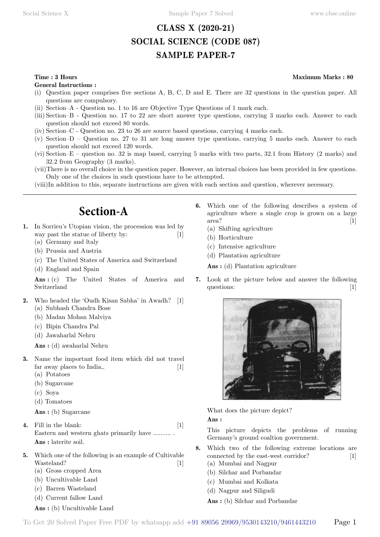# **CLASS X (2020-21) SOCIAL SCIENCE (CODE 087) SAMPLE PAPER-7**

**General Instructions :**

- (i) Question paper comprises five sections A, B, C, D and E. There are 32 questions in the question paper. All questions are compulsory.
- (ii) Section–A Question no. 1 to 16 are Objective Type Questions of 1 mark each.
- (iii) Section–B Question no. 17 to 22 are short answer type questions, carrying 3 marks each. Answer to each question should not exceed 80 words.
- (iv) Section–C Question no. 23 to 26 are source based questions, carrying 4 marks each.
- (v) Section–D Question no. 27 to 31 are long answer type questions, carrying 5 marks each. Answer to each question should not exceed 120 words.
- (vi) Section–E question no. 32 is map based, carrying 5 marks with two parts, 32.1 from History (2 marks) and 32.2 from Geography (3 marks).
- (vii)There is no overall choice in the question paper. However, an internal choices has been provided in few questions. Only one of the choices in such questions have to be attempted.
- (viii)In addition to this, separate instructions are given with each section and question, wherever necessary.

# **Section-A**

- **1.** In Sorrieu's Utopian vision, the procession was led by way past the statue of liberty by: [1]
	- (a) Germany and ltaly
	- (b) Prussia and Austria
	- (c) The United States of America and Switzerland
	- (d) England and Spain

 **Ans :** (c) The United States of America and Switzerland

- **2.** Who headed the 'Oudh Kisan Sabha' in Awadh? [1] (a) Subhash Chandra Bose
	- (b) Madan Mohan Malviya
	- (c) Bipin Chandra Pal
	- (d) Jawaharlal Nehru

 **Ans :** (d) awaharlal Nehru

- **3.** Name the important food item which did not travel far away places to India,. [1]
	- (a) Potatoes
	- (b) Sugarcane
	- (c) Soya
	- (d) Tomatoes

 **Ans :** (b) Sugarcane

- **4.** Fill in the blank: [1] Eastern and western ghats primarily have .......... .  **Ans :** laterite soil.
- **5.** Which one of the following is an example of Cultivable Wasteland? [1]
	- (a) Gross cropped Area
	- (b) Uncultivable Land
	- (c) Barren Wasteland
	- (d) Current fallow Land
	- **Ans :** (b) Uncultivable Land
- **6.** Which one of the following describes a system of agriculture where a single crop is grown on a large area? [1]
	- (a) Shifting agriculture
	- (b) Horticulture
	- (c) Intensive agriculture
	- (d) Plantation agriculture

 **Ans :** (d) Plantation agriculture

**7.** Look at the picture below and answer the following questions: [1]



What does the picture depict?

 **Ans :**

This picture depicts the problems of running Germany's ground coaltion government.

- **8.** Which two of the following extreme locations are connected by the east-west corridor? [1]
	- (a) Mumbai and Nagpur
	- (b) Silchar and Porbandar
	- (c) Mumbai and Kolkata
	- (d) Nagpur and Siligudi

 **Ans :** (b) Silchar and Porbandar

**Time : 3 Hours Maximum Marks : 80**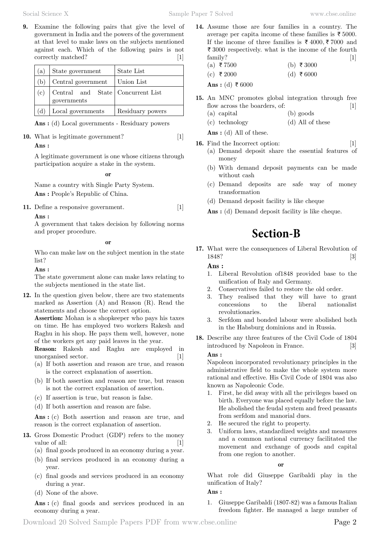Social Science X Sample Paper 7 Solved www.cbse.online

**9.** Examine the following pairs that give the level of government in India and the powers of the government at that level to make laws on the subjects mentioned against each. Which of the following pairs is not correctly matched? [1]

| $\mathbf{a})$ | State government                                 | State List       |  |  |
|---------------|--------------------------------------------------|------------------|--|--|
| (b)           | Central government                               | l Union List     |  |  |
| (c)           | Central and State Concurrent List<br>governments |                  |  |  |
| (d)           | Local governments                                | Residuary powers |  |  |

 **Ans :** (d) Local governments - Residuary powers

**10.** What is legitimate government? [1]

### **Ans :**

A legitimate government is one whose citizens through participation acquire a stake in the system.

 **o**

Name a country with Single Party System.  **Ans :** People's Republic of China.

**11.** Define a responsive government. [1]

#### **Ans :**

A government that takes decision by following norms and proper procedure.

#### **o**

Who can make law on the subject mention in the state list?

 **Ans :**

The state government alone can make laws relating to the subjects mentioned in the state list.

**12.** In the question given below, there are two statements marked as Assertion (A) and Reason (R). Read the statements and choose the correct option.

**Assertion:** Mohan is a shopkeeper who pays his taxes on time. He has employed two workers Rakesh and Raghu in his shop. He pays them well, however, none of the workers get any paid leaves in the year.

**Reason:** Rakesh and Raghu are employed in unorganised sector. [1]

- (a) If both assertion and reason are true, and reason is the correct explanation of assertion.
- (b) If both assertion and reason are true, but reason is not the correct explanation of assertion.
- (c) If assertion is true, but reason is false.
- (d) If both assertion and reason are false.

 **Ans :** (c) Both assertion and reason are true, and reason is the correct explanation of assertion.

- **13.** Gross Domestic Product (GDP) refers to the money value of all: [1]
	- (a) final goods produced in an economy during a year.
	- (b) final services produced in an economy during a year.
	- (c) final goods and services produced in an economy during a year.
	- (d) None of the above.

Ans : (c) final goods and services produced in an economy during a year.

- **14.** Assume those are four families in a country. The average per capita income of these families is  $\bar{\tau}$  5000. If the income of three families is  $\bar{\tau}$  4000,  $\bar{\tau}$  7000 and  $\bar{\tau}$  3000 respectively. what is the income of the fourth family? [1]
	- (a) ₹7500 (b) ₹3000
	- (c) ₹ 2000 (d) ₹ 6000

Ans : (d) ₹ 6000

- **15.** An MNC promotes global integration through free flow across the boarders, of: [1]
	- (a) capital (b) goods
	- (c) technology (d) All of these
	- **Ans :** (d) All of these.
- **16.** Find the Incorrect option: [1] (a) Demand deposit share the essential features of money
	- (b) With demand deposit payments can be made without cash
	- (c) Demand deposits are safe way of money transformation
	- (d) Demand deposit facility is like cheque
	- **Ans :** (d) Demand deposit facility is like cheque.

# **Section-B**

**17.** What were the consequences of Liberal Revolution of 1848? [3]

### **Ans :**

- 1. Liberal Revolution of1848 provided base to the unification of Italy and Germany.
- 2. Conservatives failed to restore the old order.
- 3. They realised that they will have to grant concessions to the liberal nationalist revolutionaries.
- 3. Serfdom and bonded labour were abolished both in the Habsburg dominions and in Russia.
- **18.** Describe any three features of the Civil Code of 1804 introduced by Napoleon in France. [3]

#### **Ans :**

Napoleon incorporated revolutionary principles in the administrative field to make the whole system more rational and effective. His Civil Code of 1804 was also known as Napoleonic Code.

- 1. First, he did away with all the privileges based on birth. Everyone was placed equally before the law. He abolished the feudal system and freed peasants from serfdom and manorial dues.
- 2. He secured the right to property.
- 3. Uniform laws, standardized weights and measures and a common national currency facilitated the movement and exchange of goods and capital from one region to another.

#### **o**

What role did Giuseppe Garibaldi play in the unification of Italy?

### **Ans :**

1. Giuseppe Garibaldi (1807-82) was a famous Italian freedom fighter. He managed a large number of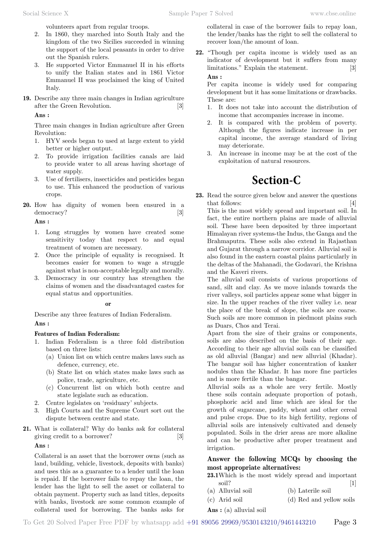volunteers apart from regular troops.

- 2. In 1860, they marched into South Italy and the kingdom of the two Sicilies succeeded in winning the support of the local peasants in order to drive out the Spanish rulers.
- 3. He supported Victor Emmanuel II in his efforts to unify the Italian states and in 1861 Victor Emmanuel II was proclaimed the king of United Italy.
- **19.** Describe any three main changes in Indian agriculture after the Green Revolution. [3]

 **Ans :**

Three main changes in Indian agriculture after Green Revolution:

- 1. HYV seeds began to used at large extent to yield better or higher output.
- 2. To provide irrigation facilities canals are laid to provide water to all areas having shortage of water supply.
- 3. Use of fertilisers, insecticides and pesticides began to use. This enhanced the production of various crops.
- **20.** How has dignity of women been ensured in a democracy? [3]

 **Ans :**

- 1. Long struggles by women have created some sensitivity today that respect to and equal treatment of women are necessary.
- 2. Once the principle of equality is recognised. It becomes easier for women to wage a struggle against what is non-acceptable legally and morally.
- 3. Democracy in our country has strengthen the claims of women and the disadvantaged castes for equal status and opportunities.

 **o**

Describe any three features of Indian Federalism.  **Ans :**

# **Features of Indian Federalism:**

- 1. Indian Federalism is a three fold distribution based on three lists:
	- (a) Union list on which centre makes laws such as defence, currency, etc.
	- (b) State list on which states make laws such as police, trade, agriculture, etc.
	- (c) Concurrent list on which both centre and state legislate such as education.
- 2. Centre legislates on 'residuary' subjects.
- 3. High Courts and the Supreme Court sort out the dispute between centre and state.
- **21.** What is collateral? Why do banks ask for collateral giving credit to a borrower? [3]

 **Ans :**

Collateral is an asset that the borrower owns (such as land, building, vehicle, livestock, deposits with banks) and uses this as a guarantee to a lender until the loan is repaid. If the borrower fails to repay the loan, the lender has the light to sell the asset or collateral to obtain payment. Property such as land titles, deposits with banks, livestock are some common example of collateral used for borrowing. The banks asks for

collateral in case of the borrower fails to repay loan, the lender/banks has the right to sell the collateral to recover loan/the amount of loan.

**22.** "Though per capita income is widely used as an indicator of development but it suffers from many limitations." Explain the statement. [3]  **Ans :**

Per capita income is widely used for comparing development but it has some limitations or drawbacks. These are:

- 1. It does not take into account the distribution of income that accompanies increase in income.
- 2. It is compared with the problem of poverty. Although the figures indicate increase in per capital income, the average standard of living may deteriorate.
- 3. An increase in income may be at the cost of the exploitation of natural resources.

# **Section-C**

**23.** Read the source given below and answer the questions that follows: [4]

This is the most widely spread and important soil. In fact, the entire northern plains are made of alluvial soil. These have been deposited by three important Himalayan river systems-the Indus, the Ganga and the Brahmaputra. These soils also extend in Rajasthan and Gujarat through a narrow corridor. Alluvial soil is also found in the eastern coastal plains particularly in the deltas of the Mahanadi, the Godavari, the Krishna and the Kaveri rivers.

The alluvial soil consists of various proportions of sand, silt and clay. As we move inlands towards the river valleys, soil particles appear some what bigger in size. In the upper reaches of the river valley i.e. near the place of the break of slope, the soils are coarse. Such soils are more common in piedmont plains such as Duars, Chos and Terai.

Apart from the size of their grains or components, soils are also described on the basis of their age. According to their age alluvial soils can be classified as old alluvial (Bangar) and new alluvial (Khadar). The bangar soil has higher concentration of kanker nodules than the Khadar. It has more fine particles and is more fertile than the bangar.

Alluvial soils as a whole are very fertile. Mostly these soils contain adequate proportion of potash, phosphoric acid and lime which are ideal for the growth of sugarcane, paddy, wheat and other cereal and pulse crops. Due to its high fertility, regions of alluvial soils are intensively cultivated and densely populated. Soils in the drier areas are more alkaline and can be productive after proper treatment and irrigation.

# **Answer the following MCQs by choosing the most appropriate alternatives:**

- **23.1**Which is the most widely spread and important soil? [1]
- (a) Alluvial soil (b) Laterile soil
- (c) Arid soil (d) Red and yellow soils
- **Ans :** (a) alluvial soil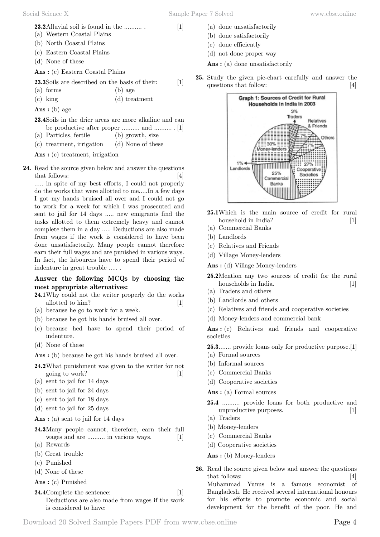**23.2**Alluvial soil is found in the .......... . [1]

- (a) Western Coastal Plains
- (b) North Coastal Plains
- (c) Eastern Coastal Plains
- (d) None of these

 **Ans :** (c) Eastern Coastal Plains

**23.3**Soils are described on the basis of their: [1]

(a) forms (b) age

(c) king (d) treatment

 **Ans :** (b) age

- **23.4**Soils in the drier areas are more alkaline and can be productive after proper .......... and .......... . [1]
- (a) Particles, fertile (b) growth, size

(c) treatment, irrigation (d) None of these

 **Ans :** (c) treatment, irrigation

**24.** Read the source given below and answer the questions that follows: [4]

..... in spite of my best efforts, I could not properly do the works that were allotted to me.....In a few days I got my hands bruised all over and I could not go to work for a week for which I was prosecuted and sent to jail for 14 days ..... new emigrants find the tasks allotted to them extremely heavy and cannot complete them in a day ..... Deductions are also made from wages if the work is considered to have been done unsatisfactorily. Many people cannot therefore earn their full wages and are punished in various ways. In fact, the labourers have to spend their period of indenture in great trouble ..... .

### **Answer the following MCQs by choosing the most appropriate alternatives:**

- **24.1**Why could not the writer properly do the works allotted to him? [1]
- (a) because he go to work for a week.
- (b) because he got his hands bruised all over.
- (c) because hed have to spend their period of indenture.
- (d) None of these

 **Ans :** (b) because he got his hands bruised all over.

- **24.2**What punishment was given to the writer for not going to work? [1]
- (a) sent to jail for 14 days
- (b) sent to jail for 24 days
- (c) sent to jail for 18 days
- (d) sent to jail for 25 days

 **Ans :** (a) sent to jail for 14 days

- **24.3**Many people cannot, therefore, earn their full wages and are .......... in various ways. [1]
- (a) Rewards
- (b) Great trouble
- (c) Punished
- (d) None of these
- **Ans :** (c) Punished

**24.4**Complete the sentence: [1] Deductions are also made from wages if the work is considered to have:

- (a) done unsatisfactorily
- (b) done satisfactorily
- (c) done efficiently
- (d) not done proper way
- **Ans :** (a) done unsatisfactorily
- **25.** Study the given pie-chart carefully and answer the questions that follow: [4]



- **25.1**Which is the main source of credit for rural household in India? [1]
- (a) Commercial Banks
- (b) Landlords
- (c) Relatives and Friends
- (d) Village Money-lenders

 **Ans :** (d) Village Money-lenders

- **25.2**Mention any two sources of credit for the rural households in India. [1]
- (a) Traders and others
- (b) Landlords and others
- (c) Relatives and friends and cooperative societies
- (d) Money-lenders and commercial bank

 **Ans :** (c) Relatives and friends and cooperative societies

**25.3**....... provide loans only for productive purpose.[1] (a) Formal sources

- (b) Informal sources
- (c) Commercial Banks
- (d) Cooperative societies
- **Ans :** (a) Formal sources
- **25.4** .......... provide loans for both productive and unproductive purposes. [1]
- (a) Traders
- (b) Money-lenders
- (c) Commercial Banks
- (d) Cooperative societies

 **Ans :** (b) Money-lenders

**26.** Read the source given below and answer the questions that follows: [4] Muhammad Yunus is a famous economist of Bangladesh. He received several international honours for his efforts to promote economic and social development for the benefit of the poor. He and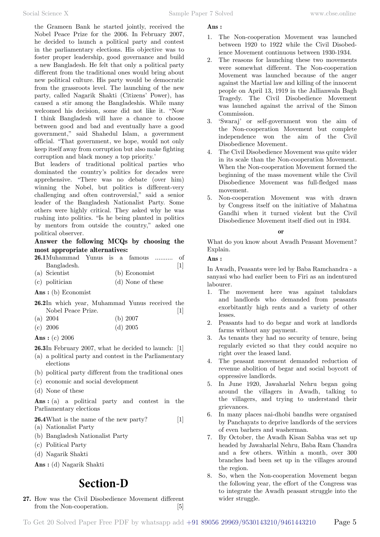the Grameen Bank he started jointly, received the Nobel Peace Prize for the 2006. In February 2007, he decided to launch a political party and contest in the parliamentary elections. His objective was to foster proper leadership, good governance and build a new Bangladesh. He felt that only a political party different from the traditional ones would bring about new political culture. His party would be democratic from the grassroots level. The launching of the new party, called Nagarik Shakti (Citizens' Power), has caused a stir among the Bangladeshis. While many welcomed his decision, some did not like it. "Now I think Bangladesh will have a chance to choose between good and bad and eventually have a good government," said Shahedul Islam, a government official. "That government, we hope, would not only keep itself away from corruption but also make fighting corruption and black money a top priority.'

But leaders of traditional political parties who dominated the country's politics for decades were apprehensive. "There was no debate (over him) winning the Nobel, but politics is different-very challenging and often controversial," said a senior leader of the Bangladesh Nationalist Party. Some others were highly critical. They asked why he was rushing into politics. "Is he being planted in politics by mentors from outside the country," asked one political observer.

# **Answer the following MCQs by choosing the most appropriate alternatives:**

| <b>26.1</b> Muhammad Yunus is a famous  of |               |  |  |  |                 |
|--------------------------------------------|---------------|--|--|--|-----------------|
| Bangladesh.                                |               |  |  |  | $\vert 1 \vert$ |
| (a) Scientist                              | (b) Economist |  |  |  |                 |

(c) politician (d) None of these

 **Ans :** (b) Economist

**26.2**In which year, Muhammad Yunus received the Nobel Peace Prize. [1]

(a) 2004 (b) 2007

| (c) 2006 | $(d)$ 2005 |
|----------|------------|
|----------|------------|

 **Ans :** (c) 2006

**26.3**In February 2007, what he decided to launch: [1]

- (a) a political party and contest in the Parliamentary elections
- (b) political party different from the traditional ones
- (c) economic and social development
- (d) None of these

 **Ans :** (a) a political party and contest in the Parliamentary elections

### **26.4**What is the name of the new party? [1]

- (a) Nationalist Party
- (b) Bangladesh Nationalist Party
- (c) Political Party
- (d) Nagarik Shakti

 **Ans :** (d) Nagarik Shakti

# **Section-D**

**27.** How was the Civil Disobedience Movement different from the Non-cooperation. [5]

# **Ans :**

- 1. The Non-cooperation Movement was launched between 1920 to 1922 while the Civil Disobedience Movement continuous between 1930-1934.
- 2. The reasons for launching these two movements were somewhat different. The Non-cooperation Movement was launched because of the anger against the Martial law and killing of the innocent people on April 13, 1919 in the Jallianwala Bagh Tragedy. The Civil Disobedience Movement was launched against the arrival of the Simon Commission.
- 3. 'Swaraj' or self-government won the aim of the Non-cooperation Movement but complete independence won the aim of the Civil Disobedience Movement.
- 4. The Civil Disobedience Movement was quite wider in its scale than the Non-cooperation Movement. When the Non-cooperation Movement formed the beginning of the mass movement while the Civil Disobedience Movement was full-fledged mass movement.
- 5. Non-cooperation Movement was with drawn by Congress itself on the initiative of Mahatma Gandhi when it turned violent but the Civil Disobedience Movement itself died out in 1934.

### **o**

What do you know about Awadh Peasant Movement? Explain.

### **Ans :**

In Awadh, Peasants were led by Baba Ramchandra - a sanyasi who had earlier been to Firi as an indentured labourer.

- 1. The movement here was against talukdars and landlords who demanded from peasants exorbitantly high rents and a variety of other lesses.
- 2. Peasants had to do begar and work at landlords farms without any payment.
- As tenants they had no security of tenure, being regularly evicted so that they could acquire no right over the leased land.
- 4. The peasant movement demanded reduction of revenue abolition of begar and social boycott of oppressive landlords.
- 5. In June 1920, Jawaharlal Nehru began going around the villagers in Awadh, talking to the villagers, and trying to understand their grievances.
- 6. In many places nai-dhobi bandhs were organised by Panchayats to deprive landlords of the services of even barhers and washerman.
- 7. By October, the Awadh Kisan Sabha was set up headed by Jawaharlal Nehru, Baba Ram Chandra and a few others. Within a month, over 300 branches had been set up in the villages around the region.
- 8. So, when the Non-cooperation Movement began the following year, the effort of the Congress was to integrate the Awadh peasant struggle into the wider struggle.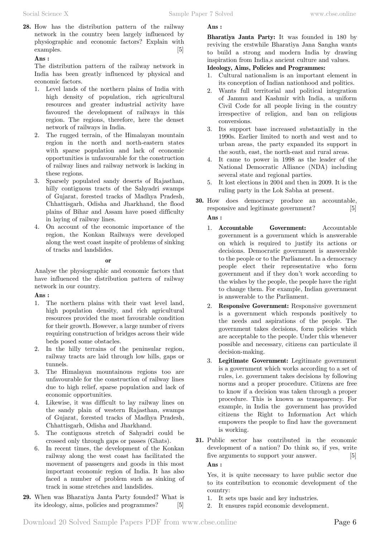**28.** How has the distribution pattern of the railway network in the country been largely influenced by physiographic and economic factors? Explain with examples. [5]

### **Ans :**

The distribution pattern of the railway network in India has been greatly influenced by physical and economic factors.

- 1. Level lands of the northern plains of India with high density of population, rich agricultural resources and greater industrial activity have favoured the development of railways in this region. The regions, therefore, here the denset network of railways in India.
- 2. The rugged terrain, of the Himalayan mountain region in the north and north-eastern states with sparse population and lack of economic opportunities is unfavourable for the construction of railway lines and railway network is lacking in these regions.
- 3. Sparsely populated sandy deserts of Rajasthan, hilly contiguous tracts of the Sahyadri swamps of Gujarat, forested tracks of Madhya Pradesh, Chhattisgarh, Odisha and Jharkhand, the flood plains of Bihar and Assam have posed difficulty in laying of railway lines.
- 4. On account of the economic importance of the region, the Konkan Railways were developed along the west coast inspite of problems of sinking of tracks and landslides.

### **o**

Analyse the physiographic and economic factors that have influenced the distribution pattern of railway network in our country.

# **Ans :**

- 1. The northern plains with their vast level land, high population density, and rich agricultural resources provided the most favourable condition for their growth. However, a large number of rivers requiring construction of bridges across their wide beds posed some obstacles.
- 2. In the hilly terrains of the peninsular region, railway tracts are laid through low hills, gaps or tunnels.
- 3. The Himalayan mountainous regions too are unfavourable for the construction of railway lines due to high relief, sparse population and lack of economic opportunities.
- 4. Likewise, it was difficult to lay railway lines on the sandy plain of western Rajasthan, swamps of Gujarat, forested tracks of Madhya Pradesh, Chhattisgarh, Odisha and Jharkhand.
- 5. The contiguous stretch of Sahyadri could be crossed only through gaps or passes (Ghats).
- 6. In recent times, the development of the Konkan railway along the west coast has facilitated the movement of passengers and goods in this most important economic region of India. It has also faced a number of problem such as sinking of track in some stretches and landslides.
- **29.** When was Bharatiya Janta Party founded? What is its ideology, aims, policies and programmes? [5]

# **Ans :**

**Bharatiya Janta Party:** It was founded in 180 by reviving the erstwhile Bharatiya Jana Sangha wants to build a strong and modern India by drawing inspiration from India,s ancient culture and values.

# **Ideology, Aims, Policies and Programmes:**

- 1. Cultural nationalism is an important element in its conception of Indian nationhood and politics.
- 2. Wants full territorial and political integration of Jammu and Kashmir with India, a uniform Civil Code for all people living in the country irrespective of religion, and ban on religious conversions.
- 3. Its support base increased substantially in the 1990s. Earlier limited to north and west and to urban areas, the party expanded its support in the south, east, the north-east and rural areas.
- 4. It came to power in 1998 as the leader of the National Democratic Alliance (NDA) including several state and regional parties.
- 5. It lost elections in 2004 and then in 2009. It is the ruling party in the Lok Sabha at present.
- **30.** How does democracy produce an accountable, responsive and legitimate government? [5]  **Ans :**
	- 1. **Accountable Government:** Accountable government is a government which is answerable on which is required to justify its actions or decisions. Democratic government is answerable to the people or to the Parliament. In a democracy people elect their representative who form government and if they don't work according to the wishes by the people, the people have the right to change them. For example, Indian government is answerable to the Parliament.
	- 2. **Responsive Government:** Responsive government is a government which responds positively to the needs and aspirations of the people. The government takes decisions, form policies which are acceptable to the people. Under this whenever possible and necessary, citizens can particulate il decision-making.
	- 3. **Legitimate Government:** Legitimate government is a government which works according to a set of rules, i.e. government takes decisions by following norms and a proper procedure. Citizens are free to know if a decision was taken through a proper procedure. This is known as transparency. For example, in India the government has provided citizens the Right to Information Act which empowers the people to find haw the government is working.
- **31.** Public sector has contributed in the economic development of a nation? Do think so, if yes, write five arguments to support your answer. [5]  **Ans :**

Yes, it is quite necessary to have public sector due to its contribution to economic development of the country:

- 1. It sets ups basic and key industries.
- 2. It ensures rapid economic development.